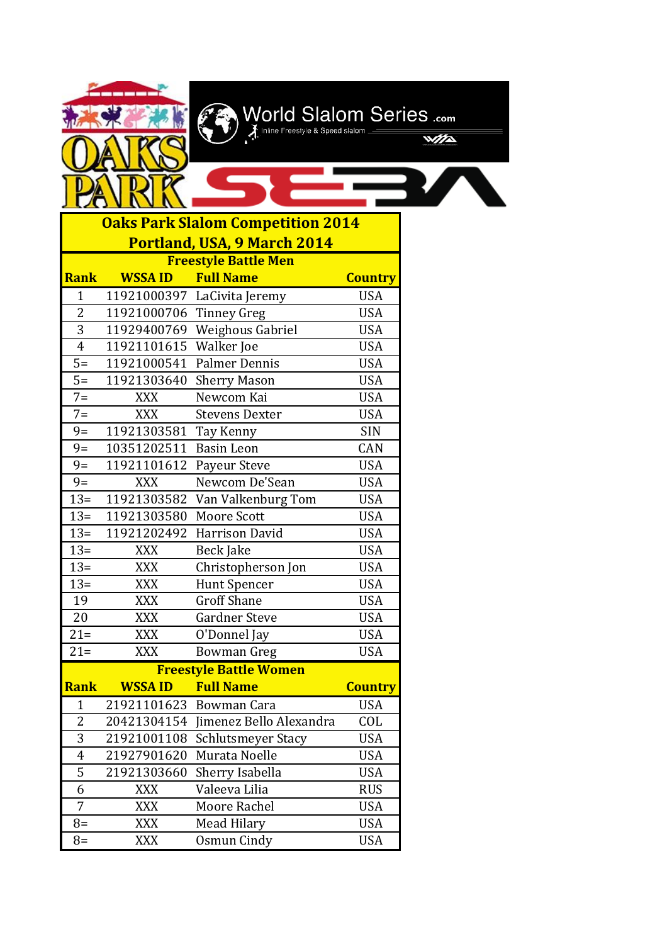